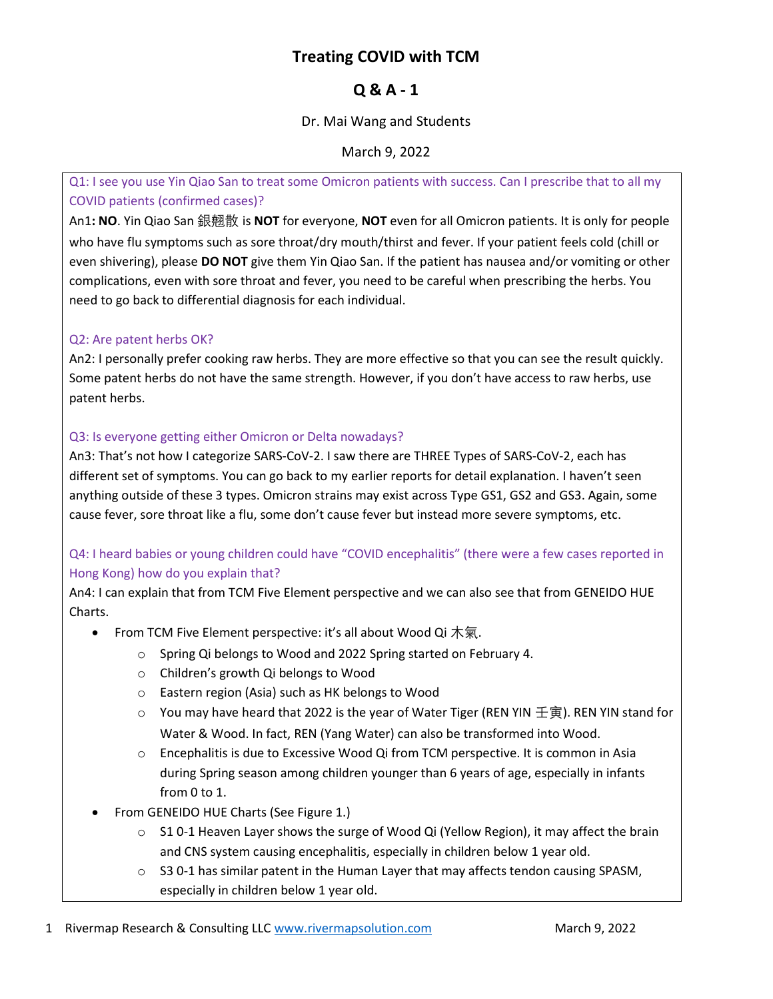# Treating COVID with TCM

# Q & A - 1

### Dr. Mai Wang and Students

March 9, 2022

Q1: I see you use Yin Qiao San to treat some Omicron patients with success. Can I prescribe that to all my COVID patients (confirmed cases)?

An1: NO. Yin Qiao San 銀翹散 is NOT for everyone, NOT even for all Omicron patients. It is only for people who have flu symptoms such as sore throat/dry mouth/thirst and fever. If your patient feels cold (chill or even shivering), please DO NOT give them Yin Qiao San. If the patient has nausea and/or vomiting or other complications, even with sore throat and fever, you need to be careful when prescribing the herbs. You need to go back to differential diagnosis for each individual.

### Q2: Are patent herbs OK?

An2: I personally prefer cooking raw herbs. They are more effective so that you can see the result quickly. Some patent herbs do not have the same strength. However, if you don't have access to raw herbs, use patent herbs.

### Q3: Is everyone getting either Omicron or Delta nowadays?

An3: That's not how I categorize SARS-CoV-2. I saw there are THREE Types of SARS-CoV-2, each has different set of symptoms. You can go back to my earlier reports for detail explanation. I haven't seen anything outside of these 3 types. Omicron strains may exist across Type GS1, GS2 and GS3. Again, some cause fever, sore throat like a flu, some don't cause fever but instead more severe symptoms, etc.

## Q4: I heard babies or young children could have "COVID encephalitis" (there were a few cases reported in Hong Kong) how do you explain that?

An4: I can explain that from TCM Five Element perspective and we can also see that from GENEIDO HUE Charts.

- From TCM Five Element perspective: it's all about Wood Qi  $\textstyle \star$ 氣.
	- o Spring Qi belongs to Wood and 2022 Spring started on February 4.
	- o Children's growth Qi belongs to Wood
	- o Eastern region (Asia) such as HK belongs to Wood
	- You may have heard that 2022 is the year of Water Tiger (REN YIN 壬寅). REN YIN stand for Water & Wood. In fact, REN (Yang Water) can also be transformed into Wood.
	- o Encephalitis is due to Excessive Wood Qi from TCM perspective. It is common in Asia during Spring season among children younger than 6 years of age, especially in infants from 0 to 1.
- From GENEIDO HUE Charts (See Figure 1.)
	- $\circ$  S1 0-1 Heaven Layer shows the surge of Wood Qi (Yellow Region), it may affect the brain and CNS system causing encephalitis, especially in children below 1 year old.
	- $\circ$  S3 0-1 has similar patent in the Human Layer that may affects tendon causing SPASM, especially in children below 1 year old.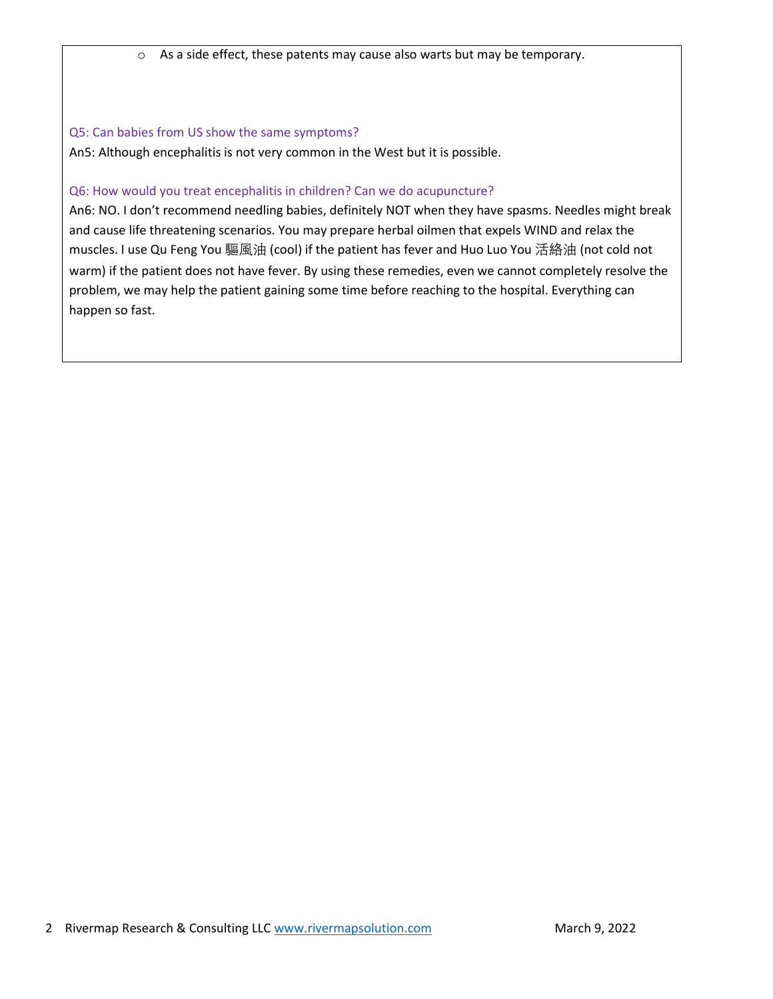o As a side effect, these patents may cause also warts but may be temporary.

#### Q5: Can babies from US show the same symptoms?

An5: Although encephalitis is not very common in the West but it is possible.

#### Q6: How would you treat encephalitis in children? Can we do acupuncture?

An6: NO. I don't recommend needling babies, definitely NOT when they have spasms. Needles might break and cause life threatening scenarios. You may prepare herbal oilmen that expels WIND and relax the muscles. I use Qu Feng You 驅風油 (cool) if the patient has fever and Huo Luo You 活絡油 (not cold not warm) if the patient does not have fever. By using these remedies, even we cannot completely resolve the problem, we may help the patient gaining some time before reaching to the hospital. Everything can happen so fast.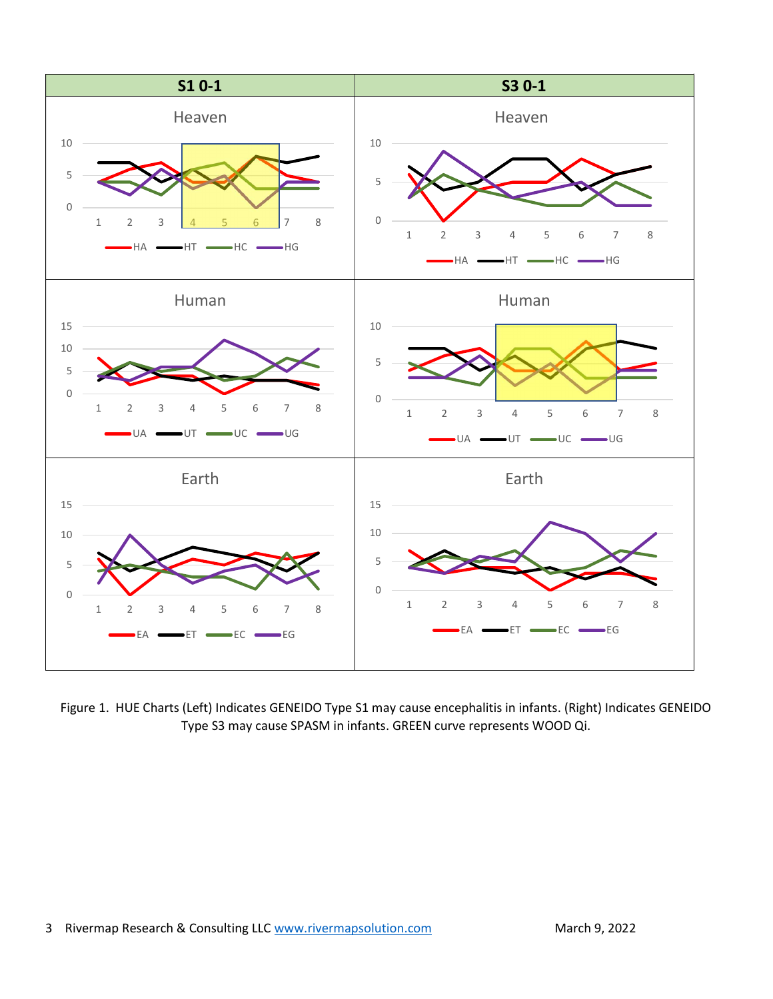

Figure 1. HUE Charts (Left) Indicates GENEIDO Type S1 may cause encephalitis in infants. (Right) Indicates GENEIDO Type S3 may cause SPASM in infants. GREEN curve represents WOOD Qi.